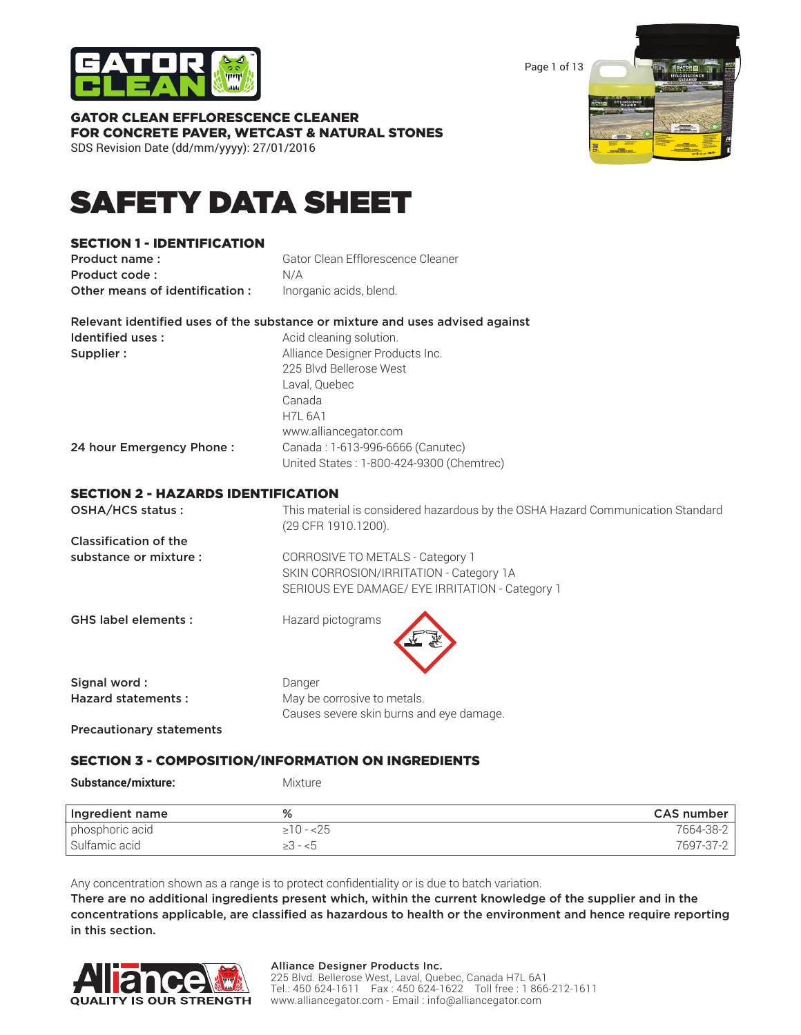

Page 1 of 13



# GATOR CLEAN EFFLORESCENCE CLEANER FOR CONCRETE PAVER, WETCAST & NATURAL STONES

SDS Revision Date (dd/mm/yyyy): 27/01/2016

# SAFETY DATA SHEET

### SECTION 1 - IDENTIFICATION

**Product name:** Gator Clean Efflorescence Cleaner Product code : N/A Other means of identification : Inorganic acids, blend.

Relevant identified uses of the substance or mixture and uses advised against Identified uses : Acid cleaning solution. Supplier :  $\qquad \qquad \text{Alliance Designer Products Inc.}$ 225 Blvd Bellerose West

> Laval, Quebec Canada H7L 6A1

www.alliancegator.com

24 hour Emergency Phone : Canada : 1-613-996-6666 (Canutec)

United States : 1-800-424-9300 (Chemtrec)

### SECTION 2 - HAZARDS IDENTIFICATION

| OSHA/HCS status:                | This material is considered hazardous by the OSHA Hazard Communication Standard<br>(29 CFR 1910.1200).                         |  |  |
|---------------------------------|--------------------------------------------------------------------------------------------------------------------------------|--|--|
| <b>Classification of the</b>    |                                                                                                                                |  |  |
| substance or mixture :          | CORROSIVE TO METALS - Category 1<br>SKIN CORROSION/IRRITATION - Category 1A<br>SERIOUS EYE DAMAGE/ EYE IRRITATION - Category 1 |  |  |
| <b>GHS label elements:</b>      | Hazard pictograms                                                                                                              |  |  |
| Signal word:                    | Danger                                                                                                                         |  |  |
| <b>Hazard statements:</b>       | May be corrosive to metals.                                                                                                    |  |  |
|                                 | Causes severe skin burns and eye damage.                                                                                       |  |  |
| <b>Precautionary statements</b> |                                                                                                                                |  |  |

SECTION 3 - COMPOSITION/INFORMATION ON INGREDIENTS

Substance/mixture: Mixture

| Ingredient name | %              | CAS number |
|-----------------|----------------|------------|
| phosphoric acid | $\geq 10 - 25$ | 7664-38-2  |
| Sulfamic acid   | ≥3 - <5        | 7697-37-2  |

Any concentration shown as a range is to protect confidentiality or is due to batch variation.

There are no additional ingredients present which, within the current knowledge of the supplier and in the concentrations applicable, are classified as hazardous to health or the environment and hence require reporting in this section.



### Alliance Designer Products Inc.

225 Blvd. Bellerose West, Laval, Quebec, Canada H7L 6A1 Tel.: 450 624-1611 Fax : 450 624-1622 Toll free : 1 866-212-1611 www.alliancegator.com - Email : info@alliancegator.com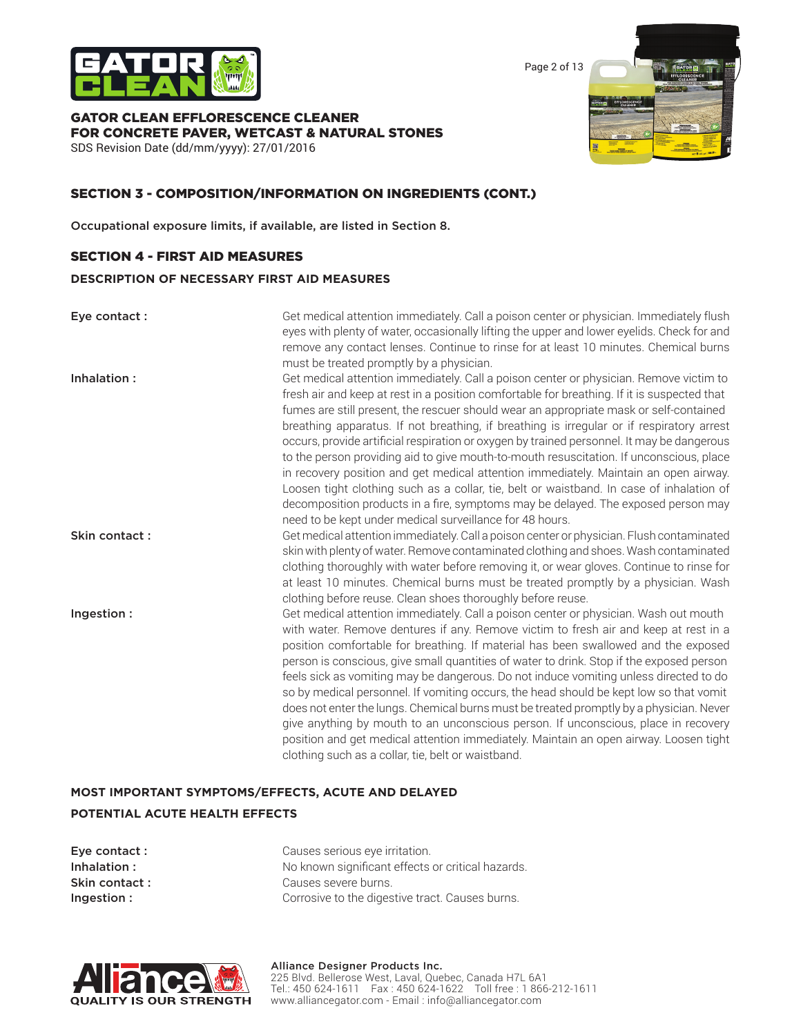

Page 2 of 13

# GATOR CLEAN EFFLORESCENCE CLEANER FOR CONCRETE PAVER, WETCAST & NATURAL STONES

SDS Revision Date (dd/mm/yyyy): 27/01/2016

### SECTION 3 - COMPOSITION/INFORMATION ON INGREDIENTS (CONT.)

Occupational exposure limits, if available, are listed in Section 8.

### SECTION 4 - FIRST AID MEASURES

#### **DESCRIPTION OF NECESSARY FIRST AID MEASURES**

Eye contact : Get medical attention immediately. Call a poison center or physician. Immediately flush eyes with plenty of water, occasionally lifting the upper and lower eyelids. Check for and remove any contact lenses. Continue to rinse for at least 10 minutes. Chemical burns must be treated promptly by a physician.

**Inhalation :** Get medical attention immediately. Call a poison center or physician. Remove victim to contact to Get medical attention immediately. Call a poison center or physician. Remove victim to fresh air and keep at rest in a position comfortable for breathing. If it is suspected that fumes are still present, the rescuer should wear an appropriate mask or self-contained breathing apparatus. If not breathing, if breathing is irregular or if respiratory arrest occurs, provide artificial respiration or oxygen by trained personnel. It may be dangerous to the person providing aid to give mouth-to-mouth resuscitation. If unconscious, place in recovery position and get medical attention immediately. Maintain an open airway. Loosen tight clothing such as a collar, tie, belt or waistband. In case of inhalation of decomposition products in a fire, symptoms may be delayed. The exposed person may need to be kept under medical surveillance for 48 hours.

**Skin contact :** Get medical attention immediately. Call a poison center or physician. Flush contaminated skin with plenty of water. Remove contaminated clothing and shoes. Wash contaminated clothing thoroughly with water before removing it, or wear gloves. Continue to rinse for at least 10 minutes. Chemical burns must be treated promptly by a physician. Wash clothing before reuse. Clean shoes thoroughly before reuse.

**Ingestion :** Get medical attention immediately. Call a poison center or physician. Wash out mouth with water. Remove dentures if any. Remove victim to fresh air and keep at rest in a position comfortable for breathing. If material has been swallowed and the exposed person is conscious, give small quantities of water to drink. Stop if the exposed person feels sick as vomiting may be dangerous. Do not induce vomiting unless directed to do so by medical personnel. If vomiting occurs, the head should be kept low so that vomit does not enter the lungs. Chemical burns must be treated promptly by a physician. Never give anything by mouth to an unconscious person. If unconscious, place in recovery position and get medical attention immediately. Maintain an open airway. Loosen tight clothing such as a collar, tie, belt or waistband.

## **MOST IMPORTANT SYMPTOMS/EFFECTS, ACUTE AND DELAYED POTENTIAL ACUTE HEALTH EFFECTS**

| Eye contact :  | Causes serious eye irritation.                    |  |  |
|----------------|---------------------------------------------------|--|--|
| Inhalation :   | No known significant effects or critical hazards. |  |  |
| Skin contact : | Causes severe burns.                              |  |  |
| Ingestion :    | Corrosive to the digestive tract. Causes burns.   |  |  |

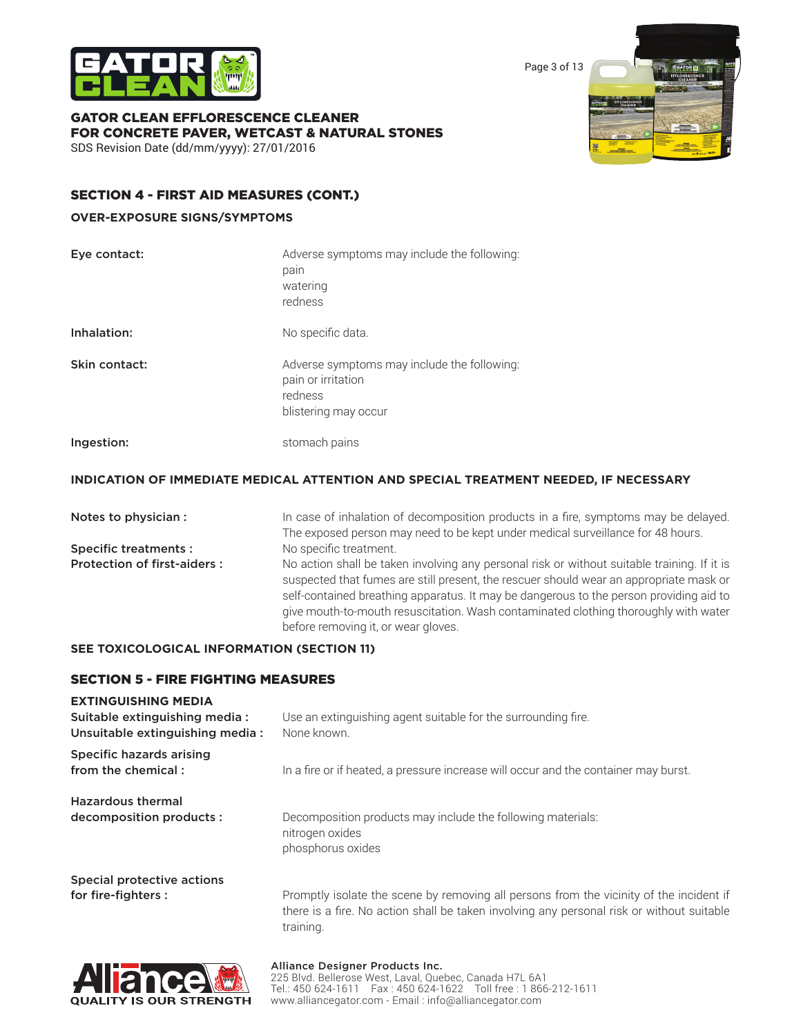

Page 3 of 13

### GATOR CLEAN EFFLORESCENCE CLEANER FOR CONCRETE PAVER, WETCAST & NATURAL STONES SDS Revision Date (dd/mm/yyyy): 27/01/2016



### SECTION 4 - FIRST AID MEASURES (CONT.)

### **OVER-EXPOSURE SIGNS/SYMPTOMS**

| Eye contact:  | Adverse symptoms may include the following:<br>pain<br>watering<br>redness                           |
|---------------|------------------------------------------------------------------------------------------------------|
| Inhalation:   | No specific data.                                                                                    |
| Skin contact: | Adverse symptoms may include the following:<br>pain or irritation<br>redness<br>blistering may occur |
| Ingestion:    | stomach pains                                                                                        |

### **INDICATION OF IMMEDIATE MEDICAL ATTENTION AND SPECIAL TREATMENT NEEDED, IF NECESSARY**

| Notes to physician :               | In case of inhalation of decomposition products in a fire, symptoms may be delayed.<br>The exposed person may need to be kept under medical surveillance for 48 hours.                                                                                                                                                                                                                                        |  |  |
|------------------------------------|---------------------------------------------------------------------------------------------------------------------------------------------------------------------------------------------------------------------------------------------------------------------------------------------------------------------------------------------------------------------------------------------------------------|--|--|
| Specific treatments :              | No specific treatment.                                                                                                                                                                                                                                                                                                                                                                                        |  |  |
| <b>Protection of first-aiders:</b> | No action shall be taken involving any personal risk or without suitable training. If it is<br>suspected that fumes are still present, the rescuer should wear an appropriate mask or<br>self-contained breathing apparatus. It may be dangerous to the person providing aid to<br>give mouth-to-mouth resuscitation. Wash contaminated clothing thoroughly with water<br>before removing it, or wear gloves. |  |  |

### **SEE TOXICOLOGICAL INFORMATION (SECTION 11)**

### SECTION 5 - FIRE FIGHTING MEASURES

# **EXTINGUISHING MEDIA**

| Suitable extinguishing media:<br>Unsuitable extinguishing media: | Use an extinguishing agent suitable for the surrounding fire.<br>None known.                                                                                                                      |  |  |
|------------------------------------------------------------------|---------------------------------------------------------------------------------------------------------------------------------------------------------------------------------------------------|--|--|
| Specific hazards arising<br>from the chemical:                   | In a fire or if heated, a pressure increase will occur and the container may burst.                                                                                                               |  |  |
| <b>Hazardous thermal</b><br>decomposition products :             | Decomposition products may include the following materials:<br>nitrogen oxides<br>phosphorus oxides                                                                                               |  |  |
| Special protective actions<br>for fire-fighters :                | Promptly isolate the scene by removing all persons from the vicinity of the incident if<br>there is a fire. No action shall be taken involving any personal risk or without suitable<br>training. |  |  |



#### Alliance Designer Products Inc. 225 Blvd. Bellerose West, Laval, Quebec, Canada H7L 6A1 Tel.: 450 624-1611 Fax : 450 624-1622 Toll free : 1 866-212-1611 www.alliancegator.com - Email : info@alliancegator.com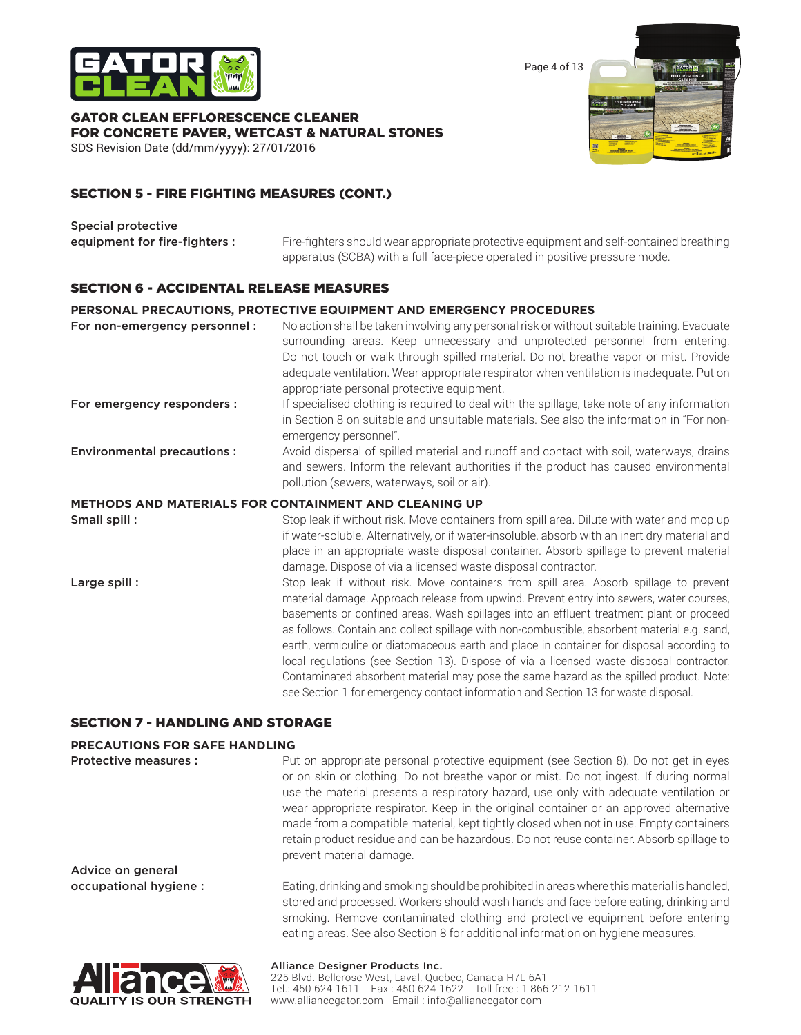

Page 4 of 13

GATOR CLEAN EFFLORESCENCE CLEANER FOR CONCRETE PAVER, WETCAST & NATURAL STONES SDS Revision Date (dd/mm/yyyy): 27/01/2016



### SECTION 5 - FIRE FIGHTING MEASURES (CONT.)

Special protective

equipment for fire-fighters : Fire-fighters should wear appropriate protective equipment and self-contained breathing apparatus (SCBA) with a full face-piece operated in positive pressure mode.

> earth, vermiculite or diatomaceous earth and place in container for disposal according to local regulations (see Section 13). Dispose of via a licensed waste disposal contractor. Contaminated absorbent material may pose the same hazard as the spilled product. Note: see Section 1 for emergency contact information and Section 13 for waste disposal.

> smoking. Remove contaminated clothing and protective equipment before entering eating areas. See also Section 8 for additional information on hygiene measures.

### SECTION 6 - ACCIDENTAL RELEASE MEASURES

#### **PERSONAL PRECAUTIONS, PROTECTIVE EQUIPMENT AND EMERGENCY PROCEDURES**

| For non-emergency personnel:      | No action shall be taken involving any personal risk or without suitable training. Evacuate<br>surrounding areas. Keep unnecessary and unprotected personnel from entering.<br>Do not touch or walk through spilled material. Do not breathe vapor or mist. Provide<br>adequate ventilation. Wear appropriate respirator when ventilation is inadequate. Put on<br>appropriate personal protective equipment. |  |  |
|-----------------------------------|---------------------------------------------------------------------------------------------------------------------------------------------------------------------------------------------------------------------------------------------------------------------------------------------------------------------------------------------------------------------------------------------------------------|--|--|
| For emergency responders :        | If specialised clothing is required to deal with the spillage, take note of any information<br>in Section 8 on suitable and unsuitable materials. See also the information in "For non-<br>emergency personnel".                                                                                                                                                                                              |  |  |
| <b>Environmental precautions:</b> | Avoid dispersal of spilled material and runoff and contact with soil, waterways, drains<br>and sewers. Inform the relevant authorities if the product has caused environmental<br>pollution (sewers, waterways, soil or air).                                                                                                                                                                                 |  |  |
|                                   | <b>METHODS AND MATERIALS FOR CONTAINMENT AND CLEANING UP</b>                                                                                                                                                                                                                                                                                                                                                  |  |  |
| Small spill:                      | Stop leak if without risk. Move containers from spill area. Dilute with water and mop up<br>if water-soluble. Alternatively, or if water-insoluble, absorb with an inert dry material and<br>place in an appropriate waste disposal container. Absorb spillage to prevent material<br>damage. Dispose of via a licensed waste disposal contractor.                                                            |  |  |
| Large spill:                      | Stop leak if without risk. Move containers from spill area. Absorb spillage to prevent<br>material damage. Approach release from upwind. Prevent entry into sewers, water courses,<br>basements or confined areas. Wash spillages into an effluent treatment plant or proceed<br>as follows. Contain and collect spillage with non-combustible, absorbent material e.g. sand,                                 |  |  |

#### SECTION 7 - HANDLING AND STORAGE

#### **PRECAUTIONS FOR SAFE HANDLING**

Protective measures : Put on appropriate personal protective equipment (see Section 8). Do not get in eyes or on skin or clothing. Do not breathe vapor or mist. Do not ingest. If during normal use the material presents a respiratory hazard, use only with adequate ventilation or wear appropriate respirator. Keep in the original container or an approved alternative made from a compatible material, kept tightly closed when not in use. Empty containers retain product residue and can be hazardous. Do not reuse container. Absorb spillage to prevent material damage. Advice on general occupational hygiene : Eating, drinking and smoking should be prohibited in areas where this material is handled, stored and processed. Workers should wash hands and face before eating, drinking and



#### Alliance Designer Products Inc. 225 Blvd. Bellerose West, Laval, Quebec, Canada H7L 6A1 Tel.: 450 624-1611 Fax : 450 624-1622 Toll free : 1 866-212-1611 www.alliancegator.com - Email : info@alliancegator.com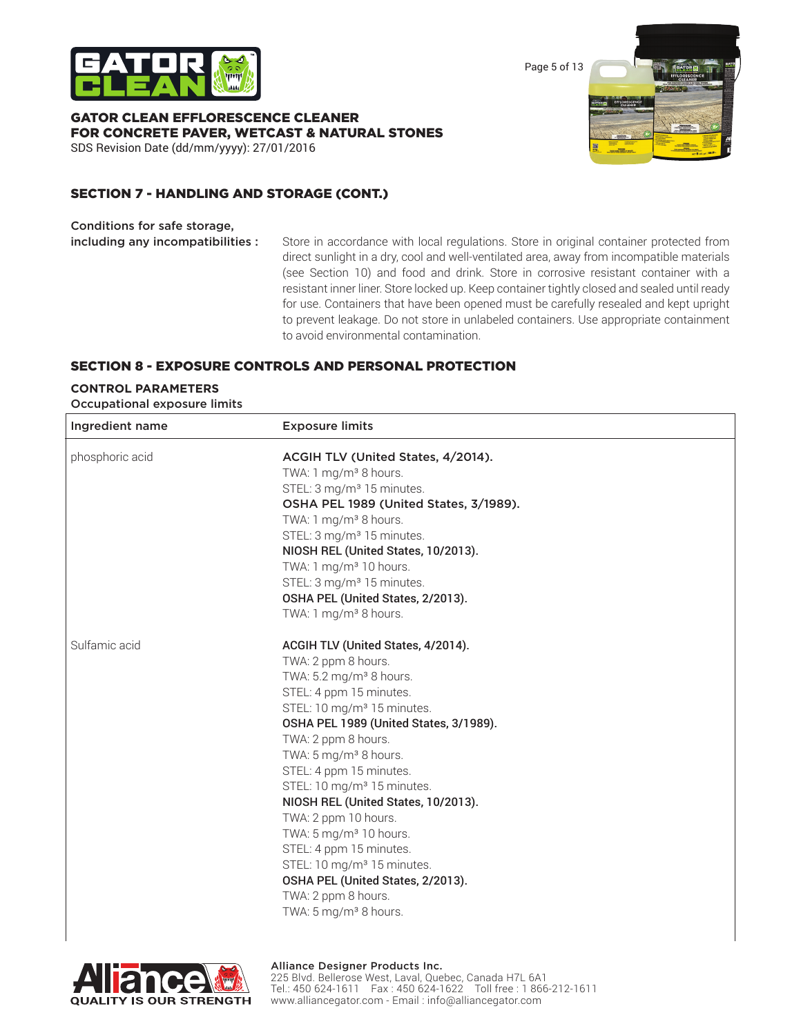

Page 5 of 13

GATOR CLEAN EFFLORESCENCE CLEANER FOR CONCRETE PAVER, WETCAST & NATURAL STONES SDS Revision Date (dd/mm/yyyy): 27/01/2016



### SECTION 7 - HANDLING AND STORAGE (CONT.)

Conditions for safe storage,

including any incompatibilities : Store in accordance with local regulations. Store in original container protected from direct sunlight in a dry, cool and well-ventilated area, away from incompatible materials (see Section 10) and food and drink. Store in corrosive resistant container with a resistant inner liner. Store locked up. Keep container tightly closed and sealed until ready for use. Containers that have been opened must be carefully resealed and kept upright to prevent leakage. Do not store in unlabeled containers. Use appropriate containment to avoid environmental contamination.

### SECTION 8 - EXPOSURE CONTROLS AND PERSONAL PROTECTION

### **CONTROL PARAMETERS**

Occupational exposure limits

| Ingredient name | <b>Exposure limits</b>                 |  |
|-----------------|----------------------------------------|--|
| phosphoric acid | ACGIH TLV (United States, 4/2014).     |  |
|                 | TWA: 1 mg/m <sup>3</sup> 8 hours.      |  |
|                 | STEL: 3 mg/m <sup>3</sup> 15 minutes.  |  |
|                 | OSHA PEL 1989 (United States, 3/1989). |  |
|                 | TWA: 1 mg/m <sup>3</sup> 8 hours.      |  |
|                 | STEL: 3 mg/m <sup>3</sup> 15 minutes.  |  |
|                 | NIOSH REL (United States, 10/2013).    |  |
|                 | TWA: 1 mg/m <sup>3</sup> 10 hours.     |  |
|                 | STEL: 3 mg/m <sup>3</sup> 15 minutes.  |  |
|                 | OSHA PEL (United States, 2/2013).      |  |
|                 | TWA: 1 mg/m <sup>3</sup> 8 hours.      |  |
| Sulfamic acid   | ACGIH TLV (United States, 4/2014).     |  |
|                 | TWA: 2 ppm 8 hours.                    |  |
|                 | TWA: 5.2 mg/m <sup>3</sup> 8 hours.    |  |
|                 | STEL: 4 ppm 15 minutes.                |  |
|                 | STEL: 10 mg/m <sup>3</sup> 15 minutes. |  |
|                 | OSHA PEL 1989 (United States, 3/1989). |  |
|                 | TWA: 2 ppm 8 hours.                    |  |
|                 | TWA: 5 mg/m <sup>3</sup> 8 hours.      |  |
|                 | STEL: 4 ppm 15 minutes.                |  |
|                 | STEL: 10 mg/m <sup>3</sup> 15 minutes. |  |
|                 | NIOSH REL (United States, 10/2013).    |  |
|                 | TWA: 2 ppm 10 hours.                   |  |
|                 | TWA: 5 mg/m <sup>3</sup> 10 hours.     |  |
|                 | STEL: 4 ppm 15 minutes.                |  |
|                 | STEL: 10 mg/m <sup>3</sup> 15 minutes. |  |
|                 | OSHA PEL (United States, 2/2013).      |  |
|                 | TWA: 2 ppm 8 hours.                    |  |
|                 | TWA: 5 mg/m <sup>3</sup> 8 hours.      |  |
|                 |                                        |  |

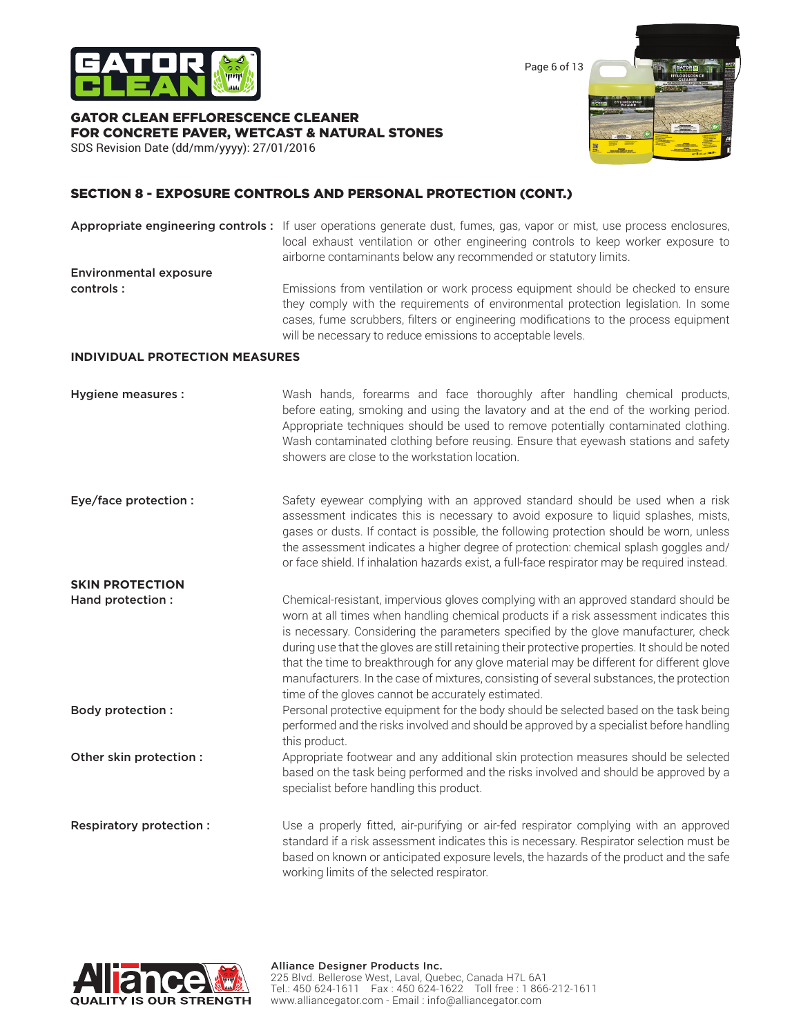

Page 6 of 13

# GATOR CLEAN EFFLORESCENCE CLEANER FOR CONCRETE PAVER, WETCAST & NATURAL STONES





### SECTION 8 - EXPOSURE CONTROLS AND PERSONAL PROTECTION (CONT.)

Appropriate engineering controls : If user operations generate dust, fumes, gas, vapor or mist, use process enclosures, local exhaust ventilation or other engineering controls to keep worker exposure to airborne contaminants below any recommended or statutory limits. Environmental exposure **controls :** Emissions from ventilation or work process equipment should be checked to ensure they comply with the requirements of environmental protection legislation. In some cases, fume scrubbers, filters or engineering modifications to the process equipment will be necessary to reduce emissions to acceptable levels.

### **INDIVIDUAL PROTECTION MEASURES**

| Hygiene measures :      | Wash hands, forearms and face thoroughly after handling chemical products,<br>before eating, smoking and using the lavatory and at the end of the working period.<br>Appropriate techniques should be used to remove potentially contaminated clothing.<br>Wash contaminated clothing before reusing. Ensure that eyewash stations and safety<br>showers are close to the workstation location.                                                                                                                                                                                                                      |
|-------------------------|----------------------------------------------------------------------------------------------------------------------------------------------------------------------------------------------------------------------------------------------------------------------------------------------------------------------------------------------------------------------------------------------------------------------------------------------------------------------------------------------------------------------------------------------------------------------------------------------------------------------|
| Eye/face protection :   | Safety eyewear complying with an approved standard should be used when a risk<br>assessment indicates this is necessary to avoid exposure to liquid splashes, mists,<br>gases or dusts. If contact is possible, the following protection should be worn, unless<br>the assessment indicates a higher degree of protection: chemical splash goggles and/<br>or face shield. If inhalation hazards exist, a full-face respirator may be required instead.                                                                                                                                                              |
| <b>SKIN PROTECTION</b>  |                                                                                                                                                                                                                                                                                                                                                                                                                                                                                                                                                                                                                      |
| Hand protection :       | Chemical-resistant, impervious gloves complying with an approved standard should be<br>worn at all times when handling chemical products if a risk assessment indicates this<br>is necessary. Considering the parameters specified by the glove manufacturer, check<br>during use that the gloves are still retaining their protective properties. It should be noted<br>that the time to breakthrough for any glove material may be different for different glove<br>manufacturers. In the case of mixtures, consisting of several substances, the protection<br>time of the gloves cannot be accurately estimated. |
| <b>Body protection:</b> | Personal protective equipment for the body should be selected based on the task being<br>performed and the risks involved and should be approved by a specialist before handling<br>this product.                                                                                                                                                                                                                                                                                                                                                                                                                    |
| Other skin protection : | Appropriate footwear and any additional skin protection measures should be selected<br>based on the task being performed and the risks involved and should be approved by a<br>specialist before handling this product.                                                                                                                                                                                                                                                                                                                                                                                              |
| Respiratory protection: | Use a properly fitted, air-purifying or air-fed respirator complying with an approved<br>standard if a risk assessment indicates this is necessary. Respirator selection must be<br>based on known or anticipated exposure levels, the hazards of the product and the safe<br>working limits of the selected respirator.                                                                                                                                                                                                                                                                                             |

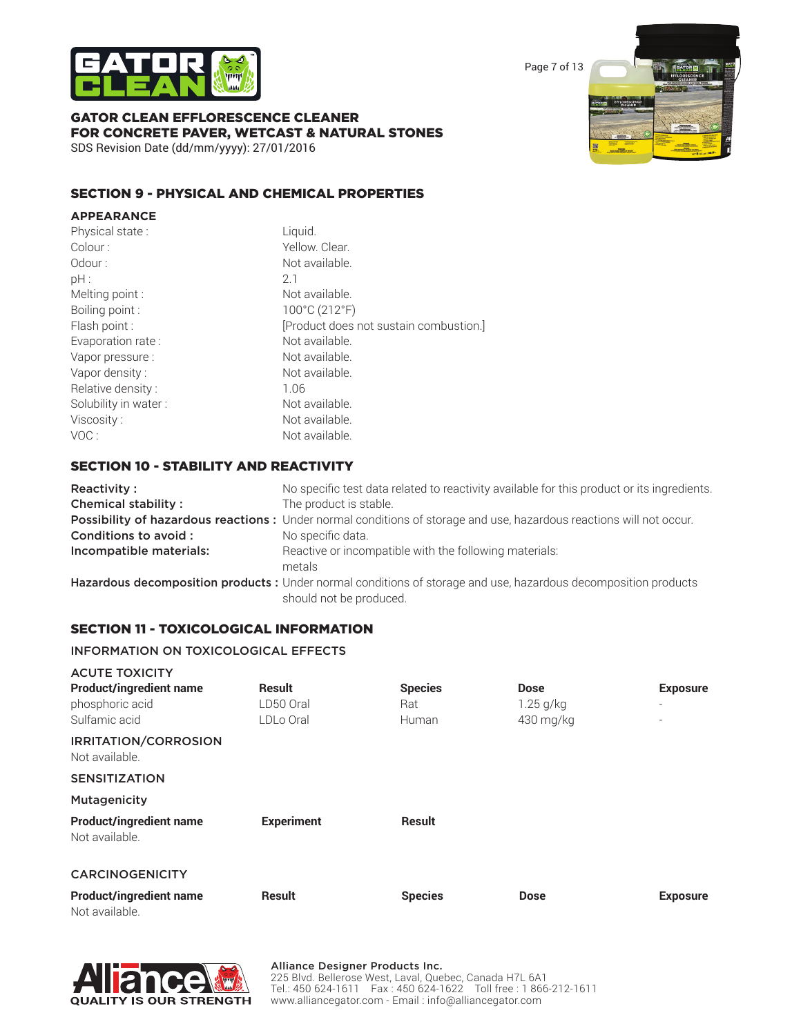

Page 7 of 13

### GATOR CLEAN EFFLORESCENCE CLEANER FOR CONCRETE PAVER, WETCAST & NATURAL STONES SDS Revision Date (dd/mm/yyyy): 27/01/2016



### SECTION 9 - PHYSICAL AND CHEMICAL PROPERTIES

| <b>APPEARANCE</b>    |                                        |
|----------------------|----------------------------------------|
| Physical state:      | Liquid.                                |
| Colour:              | Yellow. Clear.                         |
| Odour:               | Not available.                         |
| pH:                  | 21                                     |
| Melting point :      | Not available.                         |
| Boiling point:       | 100°C (212°F)                          |
| Flash point :        | [Product does not sustain combustion.] |
| Evaporation rate:    | Not available.                         |
| Vapor pressure :     | Not available.                         |
| Vapor density:       | Not available.                         |
| Relative density:    | 1.06                                   |
| Solubility in water: | Not available.                         |
| Viscosity:           | Not available.                         |
| VOC:                 | Not available.                         |

### SECTION 10 - STABILITY AND REACTIVITY

| Reactivity:                | No specific test data related to reactivity available for this product or its ingredients.                                                 |  |  |
|----------------------------|--------------------------------------------------------------------------------------------------------------------------------------------|--|--|
| <b>Chemical stability:</b> | The product is stable.                                                                                                                     |  |  |
|                            | Possibility of hazardous reactions: Under normal conditions of storage and use, hazardous reactions will not occur.                        |  |  |
| Conditions to avoid:       | No specific data.                                                                                                                          |  |  |
| Incompatible materials:    | Reactive or incompatible with the following materials:<br>metals                                                                           |  |  |
|                            | Hazardous decomposition products : Under normal conditions of storage and use, hazardous decomposition products<br>should not be produced. |  |  |

### SECTION 11 - TOXICOLOGICAL INFORMATION

### INFORMATION ON TOXICOLOGICAL EFFECTS

| <b>ACUTE TOXICITY</b>                            |                   |                |             |                          |
|--------------------------------------------------|-------------------|----------------|-------------|--------------------------|
| <b>Product/ingredient name</b>                   | <b>Result</b>     | <b>Species</b> | Dose        | <b>Exposure</b>          |
| phosphoric acid                                  | LD50 Oral         | Rat:           | $1.25$ g/kg | $\overline{\phantom{a}}$ |
| Sulfamic acid                                    | LDLo Oral         | Human          | 430 mg/kg   |                          |
| <b>IRRITATION/CORROSION</b><br>Not available.    |                   |                |             |                          |
| <b>SENSITIZATION</b>                             |                   |                |             |                          |
| Mutagenicity                                     |                   |                |             |                          |
| <b>Product/ingredient name</b><br>Not available. | <b>Experiment</b> | <b>Result</b>  |             |                          |
| <b>CARCINOGENICITY</b>                           |                   |                |             |                          |
| <b>Product/ingredient name</b><br>$N + 1 = 1$    | <b>Result</b>     | <b>Species</b> | <b>Dose</b> | <b>Exposure</b>          |





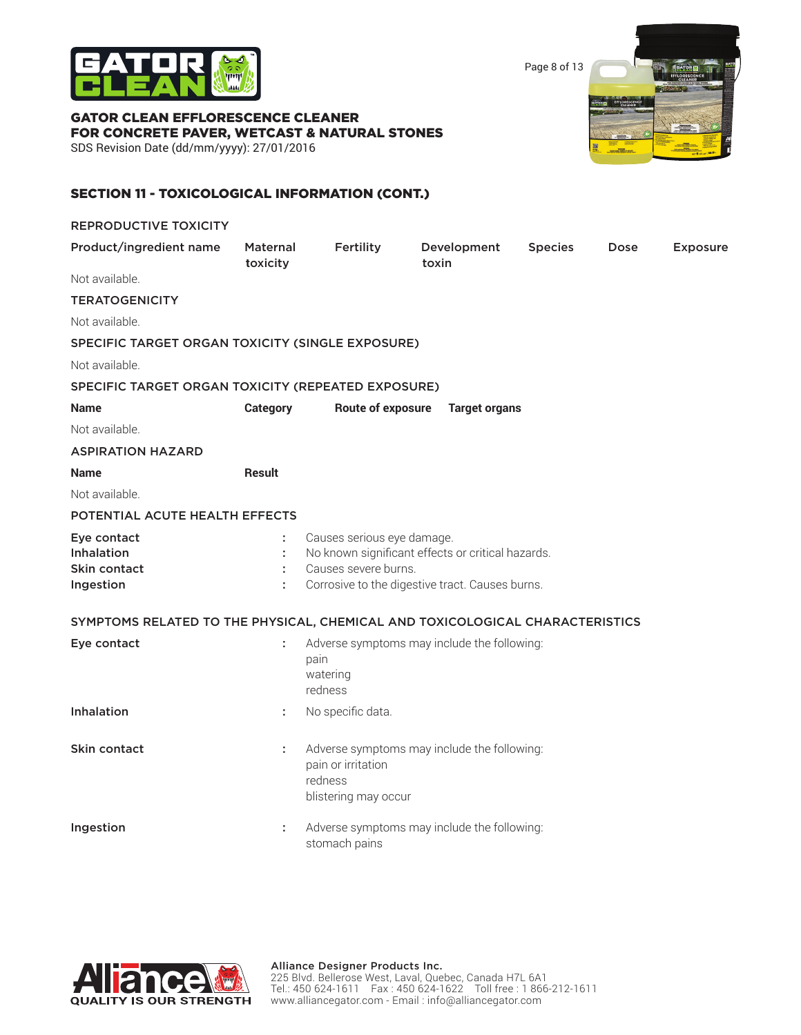

Page 8 of 13

GATOR CLEAN EFFLORESCENCE CLEANER FOR CONCRETE PAVER, WETCAST & NATURAL STONES SDS Revision Date (dd/mm/yyyy): 27/01/2016



### SECTION 11 - TOXICOLOGICAL INFORMATION (CONT.)

| <b>REPRODUCTIVE TOXICITY</b>                                                 |                             |                                                       |                                                                                                      |                |      |                 |
|------------------------------------------------------------------------------|-----------------------------|-------------------------------------------------------|------------------------------------------------------------------------------------------------------|----------------|------|-----------------|
| Product/ingredient name                                                      | <b>Maternal</b><br>toxicity | <b>Fertility</b>                                      | Development<br>toxin                                                                                 | <b>Species</b> | Dose | <b>Exposure</b> |
| Not available.                                                               |                             |                                                       |                                                                                                      |                |      |                 |
| <b>TERATOGENICITY</b>                                                        |                             |                                                       |                                                                                                      |                |      |                 |
| Not available.                                                               |                             |                                                       |                                                                                                      |                |      |                 |
| SPECIFIC TARGET ORGAN TOXICITY (SINGLE EXPOSURE)                             |                             |                                                       |                                                                                                      |                |      |                 |
| Not available.                                                               |                             |                                                       |                                                                                                      |                |      |                 |
| SPECIFIC TARGET ORGAN TOXICITY (REPEATED EXPOSURE)                           |                             |                                                       |                                                                                                      |                |      |                 |
| <b>Name</b>                                                                  | <b>Category</b>             | <b>Route of exposure</b>                              | <b>Target organs</b>                                                                                 |                |      |                 |
| Not available.                                                               |                             |                                                       |                                                                                                      |                |      |                 |
| <b>ASPIRATION HAZARD</b>                                                     |                             |                                                       |                                                                                                      |                |      |                 |
| <b>Name</b>                                                                  | <b>Result</b>               |                                                       |                                                                                                      |                |      |                 |
| Not available.                                                               |                             |                                                       |                                                                                                      |                |      |                 |
| POTENTIAL ACUTE HEALTH EFFECTS                                               |                             |                                                       |                                                                                                      |                |      |                 |
| Eye contact<br><b>Inhalation</b><br>Skin contact<br>Ingestion                | t.<br>÷<br>÷<br>÷           | Causes serious eye damage.<br>Causes severe burns.    | No known significant effects or critical hazards.<br>Corrosive to the digestive tract. Causes burns. |                |      |                 |
| SYMPTOMS RELATED TO THE PHYSICAL, CHEMICAL AND TOXICOLOGICAL CHARACTERISTICS |                             |                                                       |                                                                                                      |                |      |                 |
| Eye contact                                                                  | ÷                           | pain<br>watering<br>redness                           | Adverse symptoms may include the following:                                                          |                |      |                 |
| <b>Inhalation</b>                                                            | ÷                           | No specific data.                                     |                                                                                                      |                |      |                 |
| Skin contact                                                                 | ÷                           | pain or irritation<br>redness<br>blistering may occur | Adverse symptoms may include the following:                                                          |                |      |                 |
| Ingestion                                                                    | ÷                           | stomach pains                                         | Adverse symptoms may include the following:                                                          |                |      |                 |

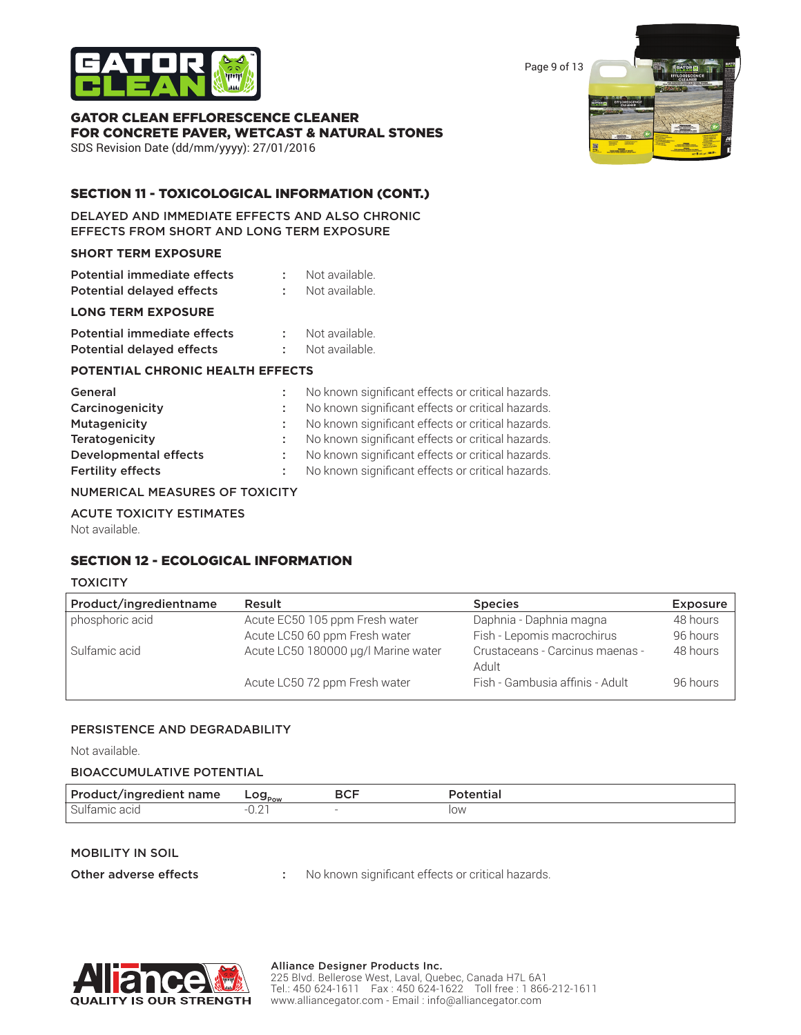

Page 9 of 13

# GATOR CLEAN EFFLORESCENCE CLEANER FOR CONCRETE PAVER, WETCAST & NATURAL STONES

SDS Revision Date (dd/mm/yyyy): 27/01/2016

### SECTION 11 - TOXICOLOGICAL INFORMATION (CONT.)

DELAYED AND IMMEDIATE EFFECTS AND ALSO CHRONIC EFFECTS FROM SHORT AND LONG TERM EXPOSURE

### **SHORT TERM EXPOSURE**

| <b>Potential immediate effects</b> | Not available.   |
|------------------------------------|------------------|
| <b>Potential delayed effects</b>   | : Not available. |

### **LONG TERM EXPOSURE**

| Potential immediate effects      | Not available. |
|----------------------------------|----------------|
| <b>Potential delayed effects</b> | Not available. |

### **POTENTIAL CHRONIC HEALTH EFFECTS**

| General                      | No known significant effects or critical hazards. |
|------------------------------|---------------------------------------------------|
| Carcinogenicity              | No known significant effects or critical hazards. |
| Mutagenicity                 | No known significant effects or critical hazards. |
| Teratogenicity               | No known significant effects or critical hazards. |
| <b>Developmental effects</b> | No known significant effects or critical hazards. |
| <b>Fertility effects</b>     | No known significant effects or critical hazards. |
|                              |                                                   |

### NUMERICAL MEASURES OF TOXICITY

#### ACUTE TOXICITY ESTIMATES

Not available.

### SECTION 12 - ECOLOGICAL INFORMATION

#### **TOXICITY**

| Product/ingredientname | Result                              | <b>Species</b>                           | <b>Exposure</b> |
|------------------------|-------------------------------------|------------------------------------------|-----------------|
| phosphoric acid        | Acute EC50 105 ppm Fresh water      | Daphnia - Daphnia magna                  | 48 hours        |
|                        | Acute LC50 60 ppm Fresh water       | Fish - Lepomis macrochirus               | 96 hours        |
| Sulfamic acid          | Acute LC50 180000 µg/l Marine water | Crustaceans - Carcinus maenas -<br>Adult | 48 hours        |
|                        | Acute LC50 72 ppm Fresh water       | Fish - Gambusia affinis - Adult          | 96 hours        |

### PERSISTENCE AND DEGRADABILITY

Not available.

### BIOACCUMULATIVE POTENTIAL

| Product/ingredient name | Log <sub>pow</sub> | <b>BCL</b> |            |
|-------------------------|--------------------|------------|------------|
| Sulfamic                |                    |            | <b>ION</b> |

#### MOBILITY IN SOIL

Other adverse effects : No known significant effects or critical hazards.



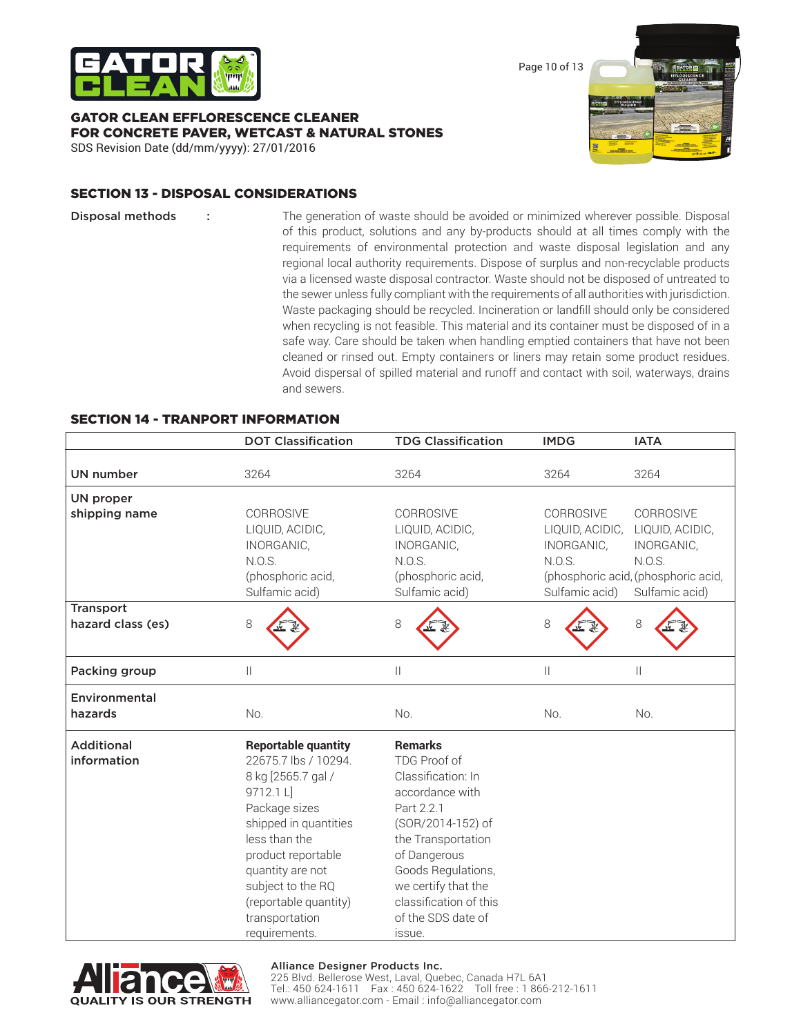

GATOR CLEAN EFFLORESCENCE CLEANER FOR CONCRETE PAVER, WETCAST & NATURAL STONES SDS Revision Date (dd/mm/yyyy): 27/01/2016

### SECTION 13 - DISPOSAL CONSIDERATIONS

**Disposal methods** : The generation of waste should be avoided or minimized wherever possible. Disposal of this product, solutions and any by-products should at all times comply with the requirements of environmental protection and waste disposal legislation and any regional local authority requirements. Dispose of surplus and non-recyclable products via a licensed waste disposal contractor. Waste should not be disposed of untreated to the sewer unless fully compliant with the requirements of all authorities with jurisdiction. Waste packaging should be recycled. Incineration or landfill should only be considered when recycling is not feasible. This material and its container must be disposed of in a safe way. Care should be taken when handling emptied containers that have not been cleaned or rinsed out. Empty containers or liners may retain some product residues. Avoid dispersal of spilled material and runoff and contact with soil, waterways, drains and sewers.

### SECTION 14 - TRANPORT INFORMATION

|                                  | <b>DOT Classification</b>                                                                                                                                                                                                                                                   | <b>TDG Classification</b>                                                                                                                                                                                                                               | <b>IMDG</b>                                                            | <b>IATA</b>                                                                                                   |
|----------------------------------|-----------------------------------------------------------------------------------------------------------------------------------------------------------------------------------------------------------------------------------------------------------------------------|---------------------------------------------------------------------------------------------------------------------------------------------------------------------------------------------------------------------------------------------------------|------------------------------------------------------------------------|---------------------------------------------------------------------------------------------------------------|
| <b>UN number</b>                 | 3264                                                                                                                                                                                                                                                                        | 3264                                                                                                                                                                                                                                                    | 3264                                                                   | 3264                                                                                                          |
| <b>UN proper</b>                 |                                                                                                                                                                                                                                                                             |                                                                                                                                                                                                                                                         |                                                                        |                                                                                                               |
| shipping name                    | CORROSIVE<br>LIQUID, ACIDIC,<br>INORGANIC,<br>N.O.S.<br>(phosphoric acid,<br>Sulfamic acid)                                                                                                                                                                                 | CORROSIVE<br>LIQUID, ACIDIC,<br>INORGANIC,<br>N.O.S.<br>(phosphoric acid,<br>Sulfamic acid)                                                                                                                                                             | CORROSIVE<br>LIQUID, ACIDIC,<br>INORGANIC,<br>N.O.S.<br>Sulfamic acid) | CORROSIVE<br>LIQUID, ACIDIC,<br>INORGANIC,<br>N.O.S.<br>(phosphoric acid, (phosphoric acid,<br>Sulfamic acid) |
| <b>Transport</b>                 |                                                                                                                                                                                                                                                                             |                                                                                                                                                                                                                                                         |                                                                        |                                                                                                               |
| hazard class (es)                | 8                                                                                                                                                                                                                                                                           | 8                                                                                                                                                                                                                                                       | 8                                                                      | 8                                                                                                             |
| Packing group                    | Ш                                                                                                                                                                                                                                                                           | $\mathbf{  }$                                                                                                                                                                                                                                           | $\mathbf{  }$                                                          | $\mathbb{I}$                                                                                                  |
| Environmental                    |                                                                                                                                                                                                                                                                             |                                                                                                                                                                                                                                                         |                                                                        |                                                                                                               |
| hazards                          | No.                                                                                                                                                                                                                                                                         | No.                                                                                                                                                                                                                                                     | No.                                                                    | No.                                                                                                           |
| <b>Additional</b><br>information | <b>Reportable quantity</b><br>22675.7 lbs / 10294.<br>8 kg [2565.7 gal /<br>9712.1 L]<br>Package sizes<br>shipped in quantities<br>less than the<br>product reportable<br>quantity are not<br>subject to the RQ<br>(reportable quantity)<br>transportation<br>requirements. | <b>Remarks</b><br>TDG Proof of<br>Classification: In<br>accordance with<br>Part 2.2.1<br>(SOR/2014-152) of<br>the Transportation<br>of Dangerous<br>Goods Regulations,<br>we certify that the<br>classification of this<br>of the SDS date of<br>issue. |                                                                        |                                                                                                               |



#### Alliance Designer Products Inc.

225 Blvd. Bellerose West, Laval, Quebec, Canada H7L 6A1 Tel.: 450 624-1611 Fax : 450 624-1622 Toll free : 1 866-212-1611 www.alliancegator.com - Email : info@alliancegator.com

Page 10 of 13

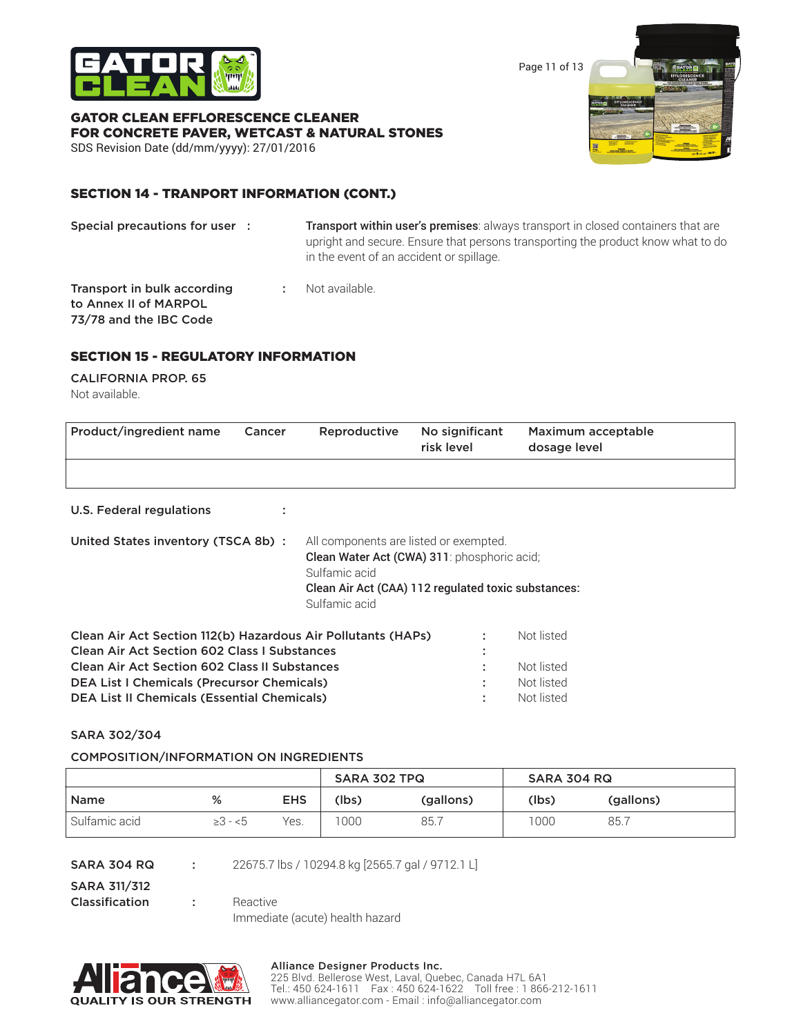

Page 11 of 13

# GATOR CLEAN EFFLORESCENCE CLEANER FOR CONCRETE PAVER, WETCAST & NATURAL STONES

SDS Revision Date (dd/mm/yyyy): 27/01/2016

### SECTION 14 - TRANPORT INFORMATION (CONT.)

Special precautions for user : Transport within user's premises: always transport in closed containers that are upright and secure. Ensure that persons transporting the product know what to do in the event of an accident or spillage.

**Transport in bulk according : Not available.** to Annex II of MARPOL 73/78 and the IBC Code

### SECTION 15 - REGULATORY INFORMATION

#### CALIFORNIA PROP. 65 Not available.

| Product/ingredient name                                                                                                                                                                                                          | Cancer | Reproductive                                                                                                                                                                   | No significant<br>risk level | Maximum acceptable<br>dosage level     |  |
|----------------------------------------------------------------------------------------------------------------------------------------------------------------------------------------------------------------------------------|--------|--------------------------------------------------------------------------------------------------------------------------------------------------------------------------------|------------------------------|----------------------------------------|--|
|                                                                                                                                                                                                                                  |        |                                                                                                                                                                                |                              |                                        |  |
| U.S. Federal regulations                                                                                                                                                                                                         |        |                                                                                                                                                                                |                              |                                        |  |
| United States inventory (TSCA 8b) :                                                                                                                                                                                              |        | All components are listed or exempted.<br>Clean Water Act (CWA) 311: phosphoric acid;<br>Sulfamic acid<br>Clean Air Act (CAA) 112 regulated toxic substances:<br>Sulfamic acid |                              |                                        |  |
| Clean Air Act Section 112(b) Hazardous Air Pollutants (HAPs)<br><b>Clean Air Act Section 602 Class I Substances</b><br><b>Clean Air Act Section 602 Class II Substances</b><br><b>DEA List I Chemicals (Precursor Chemicals)</b> |        |                                                                                                                                                                                | ٠                            | Not listed<br>Not listed<br>Not listed |  |
| <b>DEA List II Chemicals (Essential Chemicals)</b>                                                                                                                                                                               |        |                                                                                                                                                                                |                              | Not listed                             |  |

### SARA 302/304

### COMPOSITION/INFORMATION ON INGREDIENTS

|               |              |            | SARA 302 TPQ |           | <b>SARA 304 RQ</b> |           |
|---------------|--------------|------------|--------------|-----------|--------------------|-----------|
| <b>Name</b>   | %            | <b>EHS</b> | (lbs)        | (gallons) | (lbs)              | (gallons) |
| Sulfamic acid | $\geq 3 - 5$ | Yes.       | 1000         | 85.       | 1000               | 85.7      |

SARA 311/312

**SARA 304 RQ : 22675.7 lbs / 10294.8 kg [2565.7 gal / 9712.1 L]** 

**Classification :** Reactive

Immediate (acute) health hazard



#### Alliance Designer Products Inc.

225 Blvd. Bellerose West, Laval, Quebec, Canada H7L 6A1 Tel.: 450 624-1611 Fax : 450 624-1622 Toll free : 1 866-212-1611 www.alliancegator.com - Email : info@alliancegator.com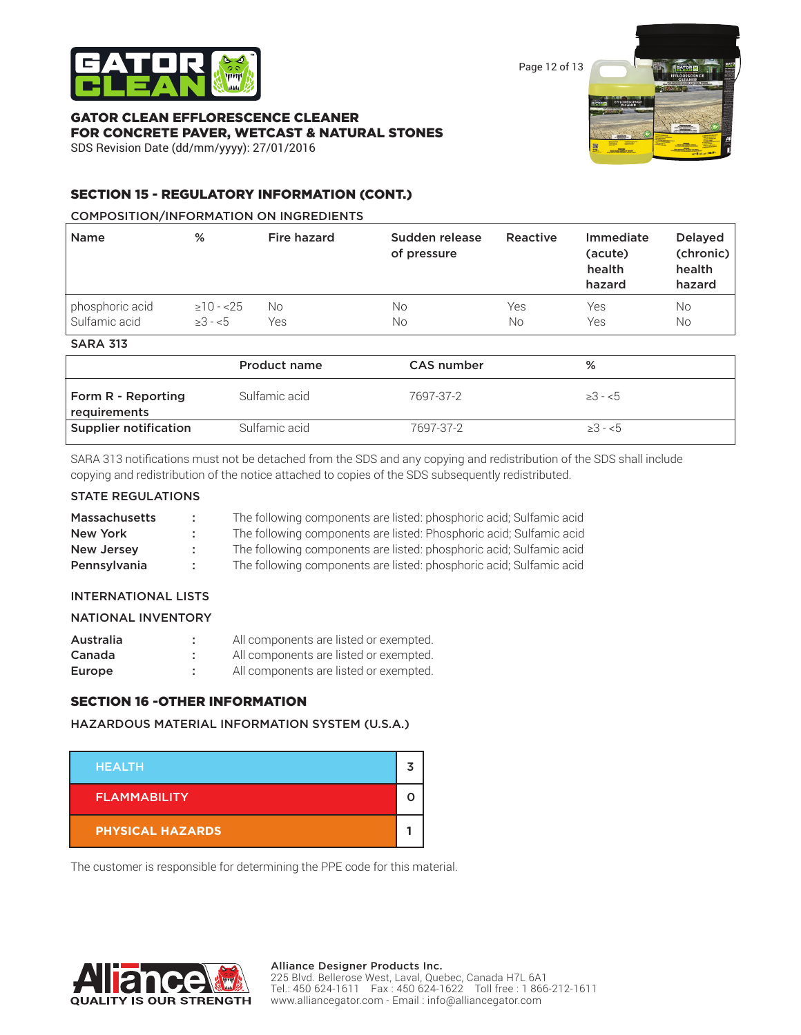

Page 12 of 13

### GATOR CLEAN EFFLORESCENCE CLEANER FOR CONCRETE PAVER, WETCAST & NATURAL STONES SDS Revision Date (dd/mm/yyyy): 27/01/2016



### SECTION 15 - REGULATORY INFORMATION (CONT.)

### COMPOSITION/INFORMATION ON INGREDIENTS

|                 |                 |     | of pressure |     | (acute)<br>health<br>hazard | (chronic)<br>health<br>hazard |
|-----------------|-----------------|-----|-------------|-----|-----------------------------|-------------------------------|
| phosphoric acid | $\geq$ 10 - <25 | No. | Νo          | Yes | Yes                         | No                            |
| Sulfamic acid   | $>3 - 5$        | Yes | Νo          | No  | Yes                         | No                            |

| <b>SARA 31.</b> |  |
|-----------------|--|
|-----------------|--|

|                                    | Product name  | CAS number | %            |  |
|------------------------------------|---------------|------------|--------------|--|
| Form R - Reporting<br>requirements | Sulfamic acid | 7697-37-2  | $\geq 3 - 5$ |  |
| Supplier notification              | Sulfamic acid | 7697-37-2  | $\geq 3 - 5$ |  |

SARA 313 notifications must not be detached from the SDS and any copying and redistribution of the SDS shall include copying and redistribution of the notice attached to copies of the SDS subsequently redistributed.

### STATE REGULATIONS

| <b>Massachusetts</b> | ÷. | The following components are listed: phosphoric acid; Sulfamic acid |
|----------------------|----|---------------------------------------------------------------------|
| New York             |    | The following components are listed: Phosphoric acid; Sulfamic acid |
| <b>New Jersey</b>    |    | The following components are listed: phosphoric acid; Sulfamic acid |
| Pennsylvania         |    | The following components are listed: phosphoric acid; Sulfamic acid |

### INTERNATIONAL LISTS

| Australia | All components are listed or exempted. |
|-----------|----------------------------------------|
| Canada    | All components are listed or exempted. |
| Europe    | All components are listed or exempted. |

### SECTION 16 -OTHER INFORMATION

HAZARDOUS MATERIAL INFORMATION SYSTEM (U.S.A.)



The customer is responsible for determining the PPE code for this material.